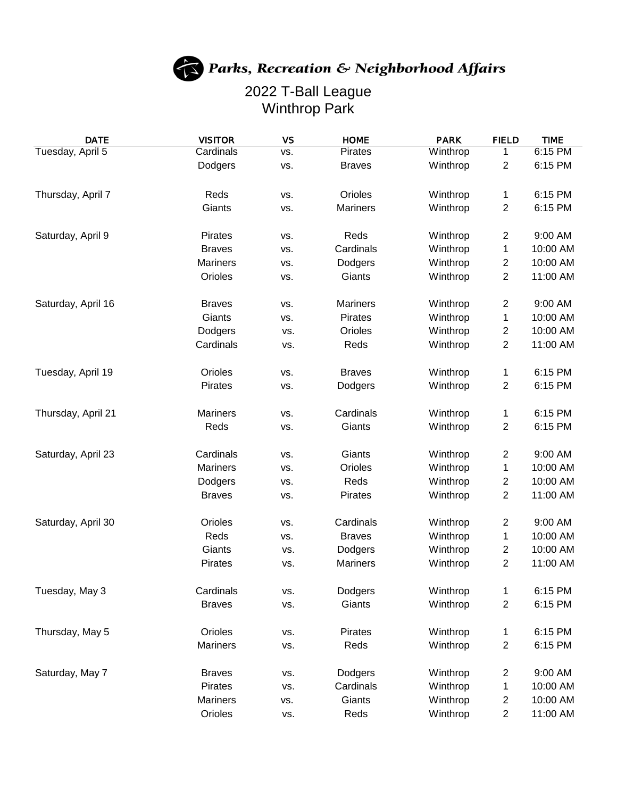## Parks, Recreation & Neighborhood Affairs

## 2022 T-Ball League Winthrop Park

| <b>DATE</b>        | <b>VISITOR</b>  | <b>VS</b> | <b>HOME</b>     | <b>PARK</b> | <b>FIELD</b>            | <b>TIME</b> |
|--------------------|-----------------|-----------|-----------------|-------------|-------------------------|-------------|
| Tuesday, April 5   | Cardinals       | VS.       | <b>Pirates</b>  | Winthrop    | 1                       | 6:15 PM     |
|                    | Dodgers         | VS.       | <b>Braves</b>   | Winthrop    | 2                       | 6:15 PM     |
| Thursday, April 7  | Reds            | VS.       | Orioles         | Winthrop    | 1                       | 6:15 PM     |
|                    | Giants          | VS.       | <b>Mariners</b> | Winthrop    | 2                       | 6:15 PM     |
| Saturday, April 9  | Pirates         | VS.       | Reds            | Winthrop    | $\overline{2}$          | 9:00 AM     |
|                    | <b>Braves</b>   | VS.       | Cardinals       | Winthrop    | 1                       | 10:00 AM    |
|                    | <b>Mariners</b> | VS.       | Dodgers         | Winthrop    | $\overline{c}$          | 10:00 AM    |
|                    | Orioles         | VS.       | Giants          | Winthrop    | 2                       | 11:00 AM    |
| Saturday, April 16 | <b>Braves</b>   | VS.       | <b>Mariners</b> | Winthrop    | $\overline{\mathbf{c}}$ | 9:00 AM     |
|                    | Giants          | VS.       | Pirates         | Winthrop    | 1                       | 10:00 AM    |
|                    | Dodgers         | VS.       | Orioles         | Winthrop    | 2                       | 10:00 AM    |
|                    | Cardinals       | VS.       | Reds            | Winthrop    | $\overline{2}$          | 11:00 AM    |
| Tuesday, April 19  | Orioles         | VS.       | <b>Braves</b>   | Winthrop    | 1                       | 6:15 PM     |
|                    | <b>Pirates</b>  | VS.       | Dodgers         | Winthrop    | 2                       | 6:15 PM     |
| Thursday, April 21 | <b>Mariners</b> | VS.       | Cardinals       | Winthrop    | 1                       | 6:15 PM     |
|                    | Reds            | VS.       | Giants          | Winthrop    | 2                       | 6:15 PM     |
| Saturday, April 23 | Cardinals       | VS.       | Giants          | Winthrop    | $\overline{\mathbf{c}}$ | 9:00 AM     |
|                    | <b>Mariners</b> | VS.       | Orioles         | Winthrop    | 1                       | 10:00 AM    |
|                    | Dodgers         | VS.       | Reds            | Winthrop    | $\overline{\mathbf{c}}$ | 10:00 AM    |
|                    | <b>Braves</b>   | VS.       | Pirates         | Winthrop    | 2                       | 11:00 AM    |
| Saturday, April 30 | Orioles         | VS.       | Cardinals       | Winthrop    | $\overline{c}$          | 9:00 AM     |
|                    | Reds            | VS.       | <b>Braves</b>   | Winthrop    | 1                       | 10:00 AM    |
|                    | Giants          | VS.       | Dodgers         | Winthrop    | $\overline{c}$          | 10:00 AM    |
|                    | Pirates         | VS.       | Mariners        | Winthrop    | 2                       | 11:00 AM    |
| Tuesday, May 3     | Cardinals       | VS.       | Dodgers         | Winthrop    | $\mathbf 1$             | 6:15 PM     |
|                    | <b>Braves</b>   | VS.       | Giants          | Winthrop    | 2                       | 6:15 PM     |
| Thursday, May 5    | Orioles         | VS.       | Pirates         | Winthrop    | 1                       | 6:15 PM     |
|                    | <b>Mariners</b> | VS.       | Reds            | Winthrop    | $\overline{\mathbf{c}}$ | 6:15 PM     |
| Saturday, May 7    | <b>Braves</b>   | VS.       | Dodgers         | Winthrop    | 2                       | 9:00 AM     |
|                    | Pirates         | VS.       | Cardinals       | Winthrop    | 1                       | 10:00 AM    |
|                    | <b>Mariners</b> | VS.       | Giants          | Winthrop    | $\overline{\mathbf{c}}$ | 10:00 AM    |
|                    | Orioles         | VS.       | Reds            | Winthrop    | $\overline{2}$          | 11:00 AM    |